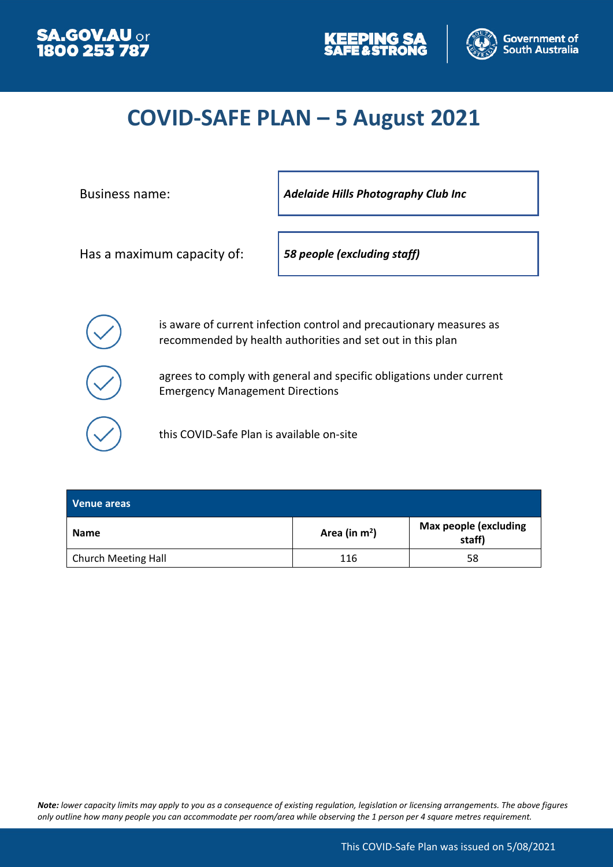





## **COVID-SAFE PLAN – 5 August 2021**

Business name: *Adelaide Hills Photography Club Inc*

Has a maximum capacity of: *58 people (excluding staff)*

is aware of current infection control and precautionary measures as recommended by health authorities and set out in this plan

agrees to comply with general and specific obligations under current Emergency Management Directions

this COVID-Safe Plan is available on-site

| Venue areas                |                 |                                        |
|----------------------------|-----------------|----------------------------------------|
| <b>Name</b>                | Area (in $m2$ ) | <b>Max people (excluding</b><br>staff) |
| <b>Church Meeting Hall</b> | 116             | 58                                     |

*Note: lower capacity limits may apply to you as a consequence of existing regulation, legislation or licensing arrangements. The above figures only outline how many people you can accommodate per room/area while observing the 1 person per 4 square metres requirement.*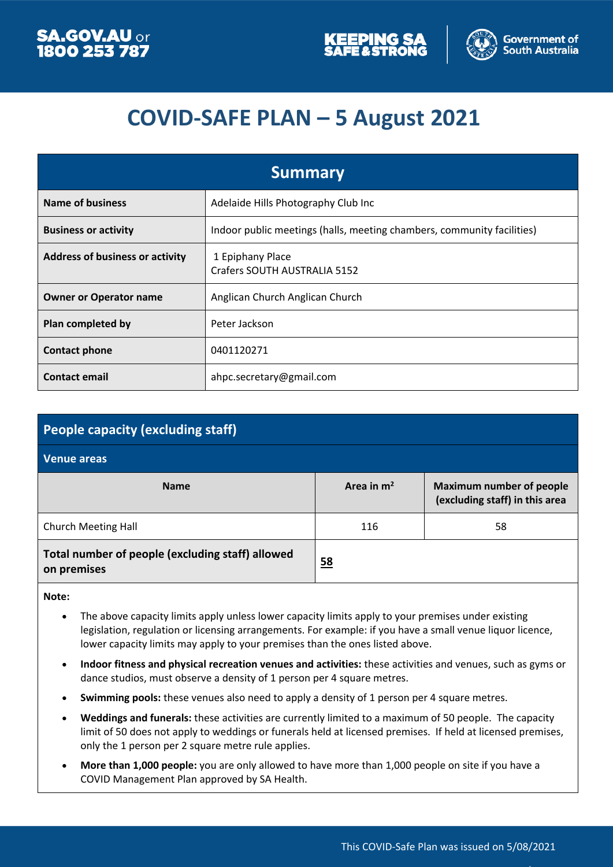



## **COVID-SAFE PLAN – 5 August 2021**

| <b>Summary</b>                         |                                                                        |  |
|----------------------------------------|------------------------------------------------------------------------|--|
| <b>Name of business</b>                | Adelaide Hills Photography Club Inc                                    |  |
| <b>Business or activity</b>            | Indoor public meetings (halls, meeting chambers, community facilities) |  |
| <b>Address of business or activity</b> | 1 Epiphany Place<br>Crafers SOUTH AUSTRALIA 5152                       |  |
| <b>Owner or Operator name</b>          | Anglican Church Anglican Church                                        |  |
| Plan completed by                      | Peter Jackson                                                          |  |
| <b>Contact phone</b>                   | 0401120271                                                             |  |
| <b>Contact email</b>                   | ahpc.secretary@gmail.com                                               |  |

| People capacity (excluding staff)                               |              |                                                                   |  |  |
|-----------------------------------------------------------------|--------------|-------------------------------------------------------------------|--|--|
| <b>Venue areas</b>                                              |              |                                                                   |  |  |
| <b>Name</b>                                                     | Area in $m2$ | <b>Maximum number of people</b><br>(excluding staff) in this area |  |  |
| <b>Church Meeting Hall</b>                                      | 116          | 58                                                                |  |  |
| Total number of people (excluding staff) allowed<br>on premises | <u>58</u>    |                                                                   |  |  |

**Note:**

- The above capacity limits apply unless lower capacity limits apply to your premises under existing legislation, regulation or licensing arrangements. For example: if you have a small venue liquor licence, lower capacity limits may apply to your premises than the ones listed above.
- **Indoor fitness and physical recreation venues and activities:** these activities and venues, such as gyms or dance studios, must observe a density of 1 person per 4 square metres.
- **Swimming pools:** these venues also need to apply a density of 1 person per 4 square metres.
- **Weddings and funerals:** these activities are currently limited to a maximum of 50 people. The capacity limit of 50 does not apply to weddings or funerals held at licensed premises. If held at licensed premises, only the 1 person per 2 square metre rule applies.
- **More than 1,000 people:** you are only allowed to have more than 1,000 people on site if you have a COVID Management Plan approved by SA Health.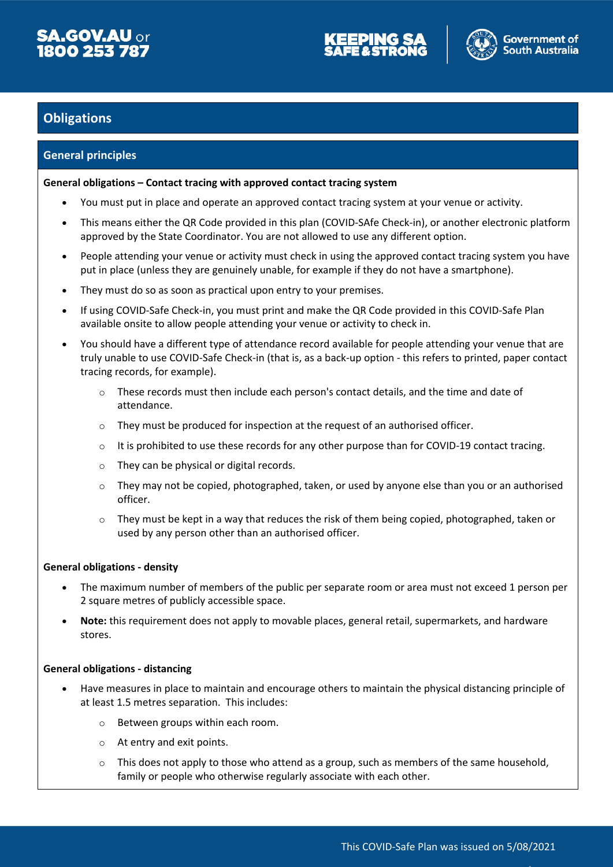



### **Obligations**

#### **General principles**

#### **General obligations – Contact tracing with approved contact tracing system**

- You must put in place and operate an approved contact tracing system at your venue or activity.
- This means either the QR Code provided in this plan (COVID-SAfe Check-in), or another electronic platform approved by the State Coordinator. You are not allowed to use any different option.
- People attending your venue or activity must check in using the approved contact tracing system you have put in place (unless they are genuinely unable, for example if they do not have a smartphone).
- They must do so as soon as practical upon entry to your premises.
- If using COVID-Safe Check-in, you must print and make the QR Code provided in this COVID-Safe Plan available onsite to allow people attending your venue or activity to check in.
- You should have a different type of attendance record available for people attending your venue that are truly unable to use COVID-Safe Check-in (that is, as a back-up option - this refers to printed, paper contact tracing records, for example).
	- $\circ$  These records must then include each person's contact details, and the time and date of attendance.
	- $\circ$  They must be produced for inspection at the request of an authorised officer.
	- $\circ$  It is prohibited to use these records for any other purpose than for COVID-19 contact tracing.
	- o They can be physical or digital records.
	- $\circ$  They may not be copied, photographed, taken, or used by anyone else than you or an authorised officer.
	- $\circ$  They must be kept in a way that reduces the risk of them being copied, photographed, taken or used by any person other than an authorised officer.

#### **General obligations - density**

- The maximum number of members of the public per separate room or area must not exceed 1 person per 2 square metres of publicly accessible space.
- **Note:** this requirement does not apply to movable places, general retail, supermarkets, and hardware stores.

#### **General obligations - distancing**

- Have measures in place to maintain and encourage others to maintain the physical distancing principle of at least 1.5 metres separation. This includes:
	- o Between groups within each room.
	- o At entry and exit points.
	- $\circ$  This does not apply to those who attend as a group, such as members of the same household, family or people who otherwise regularly associate with each other.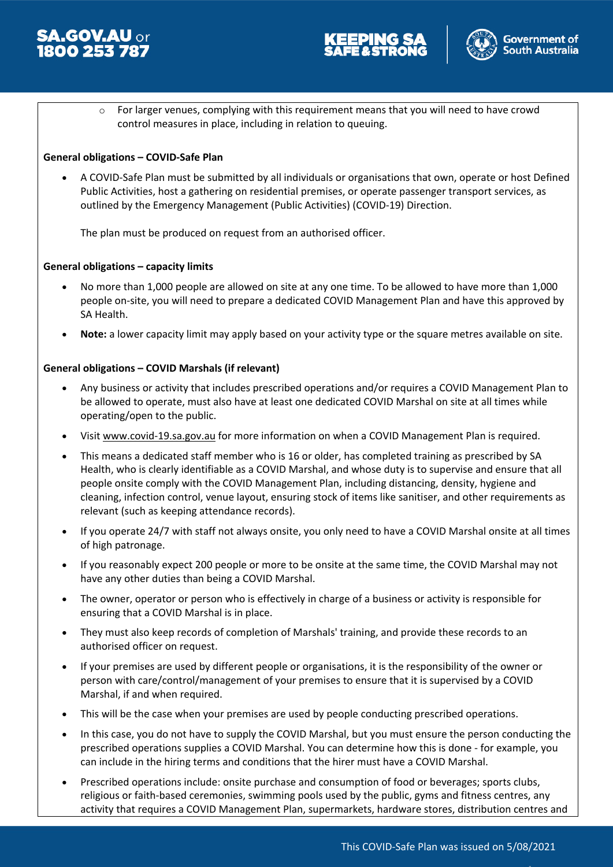





 $\circ$  For larger venues, complying with this requirement means that you will need to have crowd control measures in place, including in relation to queuing.

#### **General obligations – COVID-Safe Plan**

 A COVID-Safe Plan must be submitted by all individuals or organisations that own, operate or host Defined Public Activities, host a gathering on residential premises, or operate passenger transport services, as outlined by the Emergency Management (Public Activities) (COVID-19) Direction.

The plan must be produced on request from an authorised officer.

#### **General obligations – capacity limits**

- No more than 1,000 people are allowed on site at any one time. To be allowed to have more than 1,000 people on-site, you will need to prepare a dedicated COVID Management Plan and have this approved by SA Health.
- **Note:** a lower capacity limit may apply based on your activity type or the square metres available on site.

#### **General obligations – COVID Marshals (if relevant)**

- Any business or activity that includes prescribed operations and/or requires a COVID Management Plan to be allowed to operate, must also have at least one dedicated COVID Marshal on site at all times while operating/open to the public.
- Visit www.covid-19.sa.gov.au for more information on when a COVID Management Plan is required.
- This means a dedicated staff member who is 16 or older, has completed training as prescribed by SA Health, who is clearly identifiable as a COVID Marshal, and whose duty is to supervise and ensure that all people onsite comply with the COVID Management Plan, including distancing, density, hygiene and cleaning, infection control, venue layout, ensuring stock of items like sanitiser, and other requirements as relevant (such as keeping attendance records).
- If you operate 24/7 with staff not always onsite, you only need to have a COVID Marshal onsite at all times of high patronage.
- If you reasonably expect 200 people or more to be onsite at the same time, the COVID Marshal may not have any other duties than being a COVID Marshal.
- The owner, operator or person who is effectively in charge of a business or activity is responsible for ensuring that a COVID Marshal is in place.
- They must also keep records of completion of Marshals' training, and provide these records to an authorised officer on request.
- If your premises are used by different people or organisations, it is the responsibility of the owner or person with care/control/management of your premises to ensure that it is supervised by a COVID Marshal, if and when required.
- This will be the case when your premises are used by people conducting prescribed operations.
- In this case, you do not have to supply the COVID Marshal, but you must ensure the person conducting the prescribed operations supplies a COVID Marshal. You can determine how this is done - for example, you can include in the hiring terms and conditions that the hirer must have a COVID Marshal.
- Prescribed operations include: onsite purchase and consumption of food or beverages; sports clubs, religious or faith-based ceremonies, swimming pools used by the public, gyms and fitness centres, any activity that requires a COVID Management Plan, supermarkets, hardware stores, distribution centres and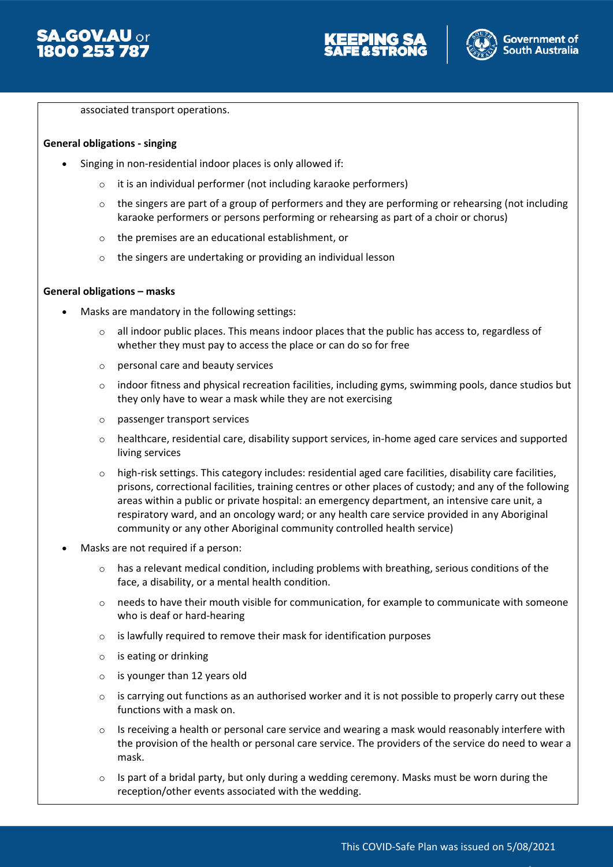



associated transport operations.

#### **General obligations - singing**

- Singing in non-residential indoor places is only allowed if:
	- o it is an individual performer (not including karaoke performers)
	- $\circ$  the singers are part of a group of performers and they are performing or rehearsing (not including karaoke performers or persons performing or rehearsing as part of a choir or chorus)
	- o the premises are an educational establishment, or
	- o the singers are undertaking or providing an individual lesson

#### **General obligations – masks**

- Masks are mandatory in the following settings:
	- o all indoor public places. This means indoor places that the public has access to, regardless of whether they must pay to access the place or can do so for free
	- o personal care and beauty services
	- $\circ$  indoor fitness and physical recreation facilities, including gyms, swimming pools, dance studios but they only have to wear a mask while they are not exercising
	- o passenger transport services
	- $\circ$  healthcare, residential care, disability support services, in-home aged care services and supported living services
	- $\circ$  high-risk settings. This category includes: residential aged care facilities, disability care facilities, prisons, correctional facilities, training centres or other places of custody; and any of the following areas within a public or private hospital: an emergency department, an intensive care unit, a respiratory ward, and an oncology ward; or any health care service provided in any Aboriginal community or any other Aboriginal community controlled health service)
- Masks are not required if a person:
	- $\circ$  has a relevant medical condition, including problems with breathing, serious conditions of the face, a disability, or a mental health condition.
	- $\circ$  needs to have their mouth visible for communication, for example to communicate with someone who is deaf or hard-hearing
	- o is lawfully required to remove their mask for identification purposes
	- o is eating or drinking
	- o is younger than 12 years old
	- $\circ$  is carrying out functions as an authorised worker and it is not possible to properly carry out these functions with a mask on.
	- $\circ$  Is receiving a health or personal care service and wearing a mask would reasonably interfere with the provision of the health or personal care service. The providers of the service do need to wear a mask.
	- $\circ$  Is part of a bridal party, but only during a wedding ceremony. Masks must be worn during the reception/other events associated with the wedding.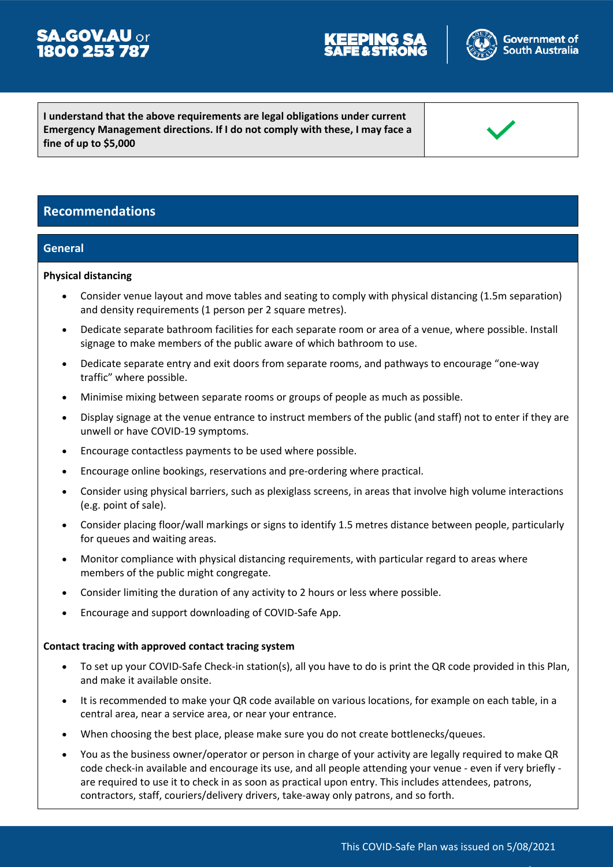## **SA.GOV.AU** or<br>**1800 253 787**



**I understand that the above requirements are legal obligations under current Emergency Management directions. If I do not comply with these, I may face a fine of up to \$5,000**

#### **Recommendations**

#### **General**

#### **Physical distancing**

- Consider venue layout and move tables and seating to comply with physical distancing (1.5m separation) and density requirements (1 person per 2 square metres).
- Dedicate separate bathroom facilities for each separate room or area of a venue, where possible. Install signage to make members of the public aware of which bathroom to use.
- Dedicate separate entry and exit doors from separate rooms, and pathways to encourage "one-way traffic" where possible.
- Minimise mixing between separate rooms or groups of people as much as possible.
- Display signage at the venue entrance to instruct members of the public (and staff) not to enter if they are unwell or have COVID-19 symptoms.
- Encourage contactless payments to be used where possible.
- Encourage online bookings, reservations and pre-ordering where practical.
- Consider using physical barriers, such as plexiglass screens, in areas that involve high volume interactions (e.g. point of sale).
- Consider placing floor/wall markings or signs to identify 1.5 metres distance between people, particularly for queues and waiting areas.
- Monitor compliance with physical distancing requirements, with particular regard to areas where members of the public might congregate.
- Consider limiting the duration of any activity to 2 hours or less where possible.
- Encourage and support downloading of COVID-Safe App.

#### **Contact tracing with approved contact tracing system**

- To set up your COVID-Safe Check-in station(s), all you have to do is print the QR code provided in this Plan, and make it available onsite.
- It is recommended to make your QR code available on various locations, for example on each table, in a central area, near a service area, or near your entrance.
- When choosing the best place, please make sure you do not create bottlenecks/queues.
- You as the business owner/operator or person in charge of your activity are legally required to make QR code check-in available and encourage its use, and all people attending your venue - even if very briefly are required to use it to check in as soon as practical upon entry. This includes attendees, patrons, contractors, staff, couriers/delivery drivers, take-away only patrons, and so forth.

This COVID-Safe Plan was issued on 5/08/2021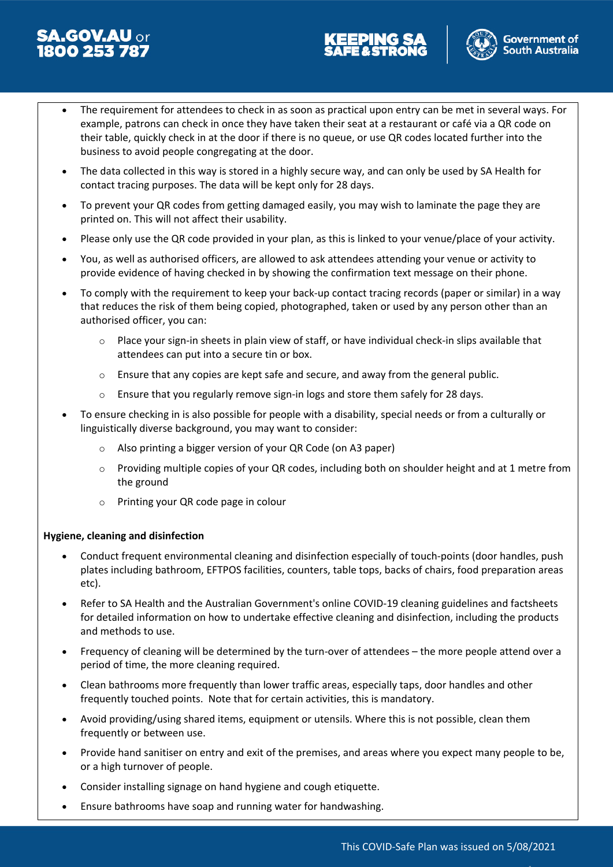# 5**A.GOV.AU** or<br>**1800 253 787**





- The requirement for attendees to check in as soon as practical upon entry can be met in several ways. For example, patrons can check in once they have taken their seat at a restaurant or café via a QR code on their table, quickly check in at the door if there is no queue, or use QR codes located further into the business to avoid people congregating at the door.
- The data collected in this way is stored in a highly secure way, and can only be used by SA Health for contact tracing purposes. The data will be kept only for 28 days.
- To prevent your QR codes from getting damaged easily, you may wish to laminate the page they are printed on. This will not affect their usability.
- Please only use the QR code provided in your plan, as this is linked to your venue/place of your activity.
- You, as well as authorised officers, are allowed to ask attendees attending your venue or activity to provide evidence of having checked in by showing the confirmation text message on their phone.
- To comply with the requirement to keep your back-up contact tracing records (paper or similar) in a way that reduces the risk of them being copied, photographed, taken or used by any person other than an authorised officer, you can:
	- $\circ$  Place your sign-in sheets in plain view of staff, or have individual check-in slips available that attendees can put into a secure tin or box.
	- $\circ$  Ensure that any copies are kept safe and secure, and away from the general public.
	- Ensure that you regularly remove sign-in logs and store them safely for 28 days.
- To ensure checking in is also possible for people with a disability, special needs or from a culturally or linguistically diverse background, you may want to consider:
	- o Also printing a bigger version of your QR Code (on A3 paper)
	- $\circ$  Providing multiple copies of your QR codes, including both on shoulder height and at 1 metre from the ground
	- o Printing your QR code page in colour

#### **Hygiene, cleaning and disinfection**

- Conduct frequent environmental cleaning and disinfection especially of touch-points (door handles, push plates including bathroom, EFTPOS facilities, counters, table tops, backs of chairs, food preparation areas etc).
- Refer to SA Health and the Australian Government's online COVID-19 cleaning guidelines and factsheets for detailed information on how to undertake effective cleaning and disinfection, including the products and methods to use.
- Frequency of cleaning will be determined by the turn-over of attendees the more people attend over a period of time, the more cleaning required.
- Clean bathrooms more frequently than lower traffic areas, especially taps, door handles and other frequently touched points. Note that for certain activities, this is mandatory.
- Avoid providing/using shared items, equipment or utensils. Where this is not possible, clean them frequently or between use.
- Provide hand sanitiser on entry and exit of the premises, and areas where you expect many people to be, or a high turnover of people.
- Consider installing signage on hand hygiene and cough etiquette.
- Ensure bathrooms have soap and running water for handwashing.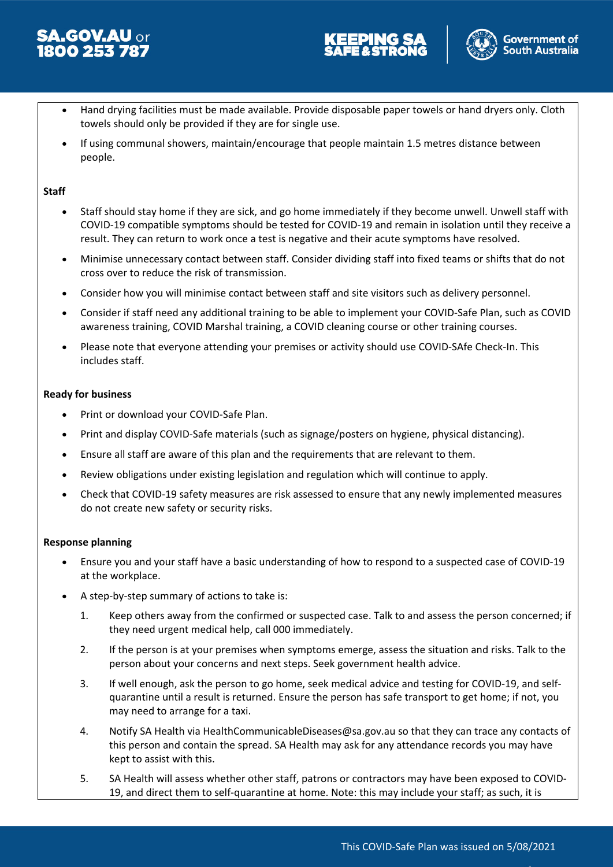





- Hand drying facilities must be made available. Provide disposable paper towels or hand dryers only. Cloth towels should only be provided if they are for single use.
- If using communal showers, maintain/encourage that people maintain 1.5 metres distance between people.

#### **Staff**

- Staff should stay home if they are sick, and go home immediately if they become unwell. Unwell staff with COVID-19 compatible symptoms should be tested for COVID-19 and remain in isolation until they receive a result. They can return to work once a test is negative and their acute symptoms have resolved.
- Minimise unnecessary contact between staff. Consider dividing staff into fixed teams or shifts that do not cross over to reduce the risk of transmission.
- Consider how you will minimise contact between staff and site visitors such as delivery personnel.
- Consider if staff need any additional training to be able to implement your COVID-Safe Plan, such as COVID awareness training, COVID Marshal training, a COVID cleaning course or other training courses.
- Please note that everyone attending your premises or activity should use COVID-SAfe Check-In. This includes staff.

#### **Ready for business**

- Print or download your COVID-Safe Plan.
- Print and display COVID-Safe materials (such as signage/posters on hygiene, physical distancing).
- Ensure all staff are aware of this plan and the requirements that are relevant to them.
- Review obligations under existing legislation and regulation which will continue to apply.
- Check that COVID-19 safety measures are risk assessed to ensure that any newly implemented measures do not create new safety or security risks.

#### **Response planning**

- Ensure you and your staff have a basic understanding of how to respond to a suspected case of COVID-19 at the workplace.
- A step-by-step summary of actions to take is:
	- 1. Keep others away from the confirmed or suspected case. Talk to and assess the person concerned; if they need urgent medical help, call 000 immediately.
	- 2. If the person is at your premises when symptoms emerge, assess the situation and risks. Talk to the person about your concerns and next steps. Seek government health advice.
	- 3. If well enough, ask the person to go home, seek medical advice and testing for COVID-19, and selfquarantine until a result is returned. Ensure the person has safe transport to get home; if not, you may need to arrange for a taxi.
	- 4. Notify SA Health via HealthCommunicableDiseases@sa.gov.au so that they can trace any contacts of this person and contain the spread. SA Health may ask for any attendance records you may have kept to assist with this.
	- 5. SA Health will assess whether other staff, patrons or contractors may have been exposed to COVID-19, and direct them to self-quarantine at home. Note: this may include your staff; as such, it is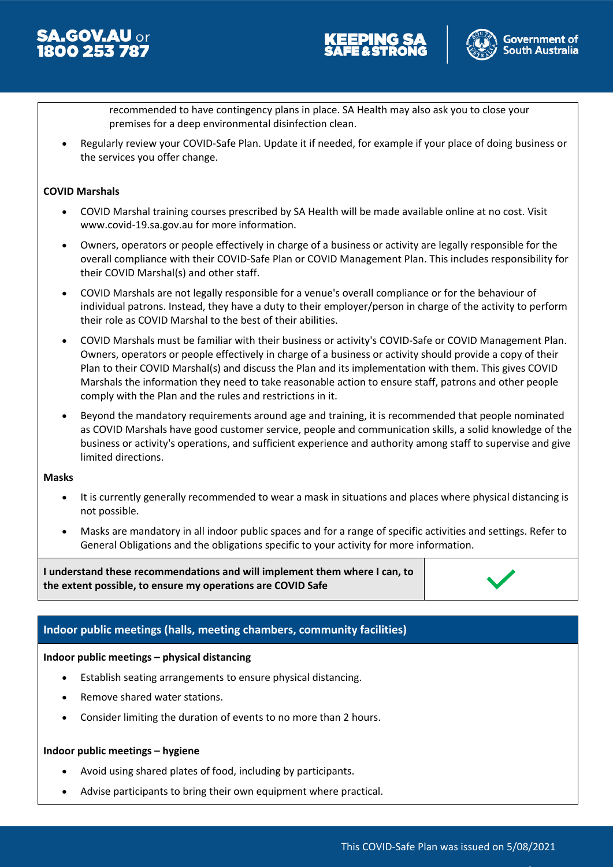





recommended to have contingency plans in place. SA Health may also ask you to close your premises for a deep environmental disinfection clean.

 Regularly review your COVID-Safe Plan. Update it if needed, for example if your place of doing business or the services you offer change.

#### **COVID Marshals**

- COVID Marshal training courses prescribed by SA Health will be made available online at no cost. Visit www.covid-19.sa.gov.au for more information.
- Owners, operators or people effectively in charge of a business or activity are legally responsible for the overall compliance with their COVID-Safe Plan or COVID Management Plan. This includes responsibility for their COVID Marshal(s) and other staff.
- COVID Marshals are not legally responsible for a venue's overall compliance or for the behaviour of individual patrons. Instead, they have a duty to their employer/person in charge of the activity to perform their role as COVID Marshal to the best of their abilities.
- COVID Marshals must be familiar with their business or activity's COVID-Safe or COVID Management Plan. Owners, operators or people effectively in charge of a business or activity should provide a copy of their Plan to their COVID Marshal(s) and discuss the Plan and its implementation with them. This gives COVID Marshals the information they need to take reasonable action to ensure staff, patrons and other people comply with the Plan and the rules and restrictions in it.
- Beyond the mandatory requirements around age and training, it is recommended that people nominated as COVID Marshals have good customer service, people and communication skills, a solid knowledge of the business or activity's operations, and sufficient experience and authority among staff to supervise and give limited directions.

#### **Masks**

- It is currently generally recommended to wear a mask in situations and places where physical distancing is not possible.
- Masks are mandatory in all indoor public spaces and for a range of specific activities and settings. Refer to General Obligations and the obligations specific to your activity for more information.

**I understand these recommendations and will implement them where I can, to the extent possible, to ensure my operations are COVID Safe**



#### **Indoor public meetings (halls, meeting chambers, community facilities)**

#### **Indoor public meetings – physical distancing**

- Establish seating arrangements to ensure physical distancing.
- Remove shared water stations.
- Consider limiting the duration of events to no more than 2 hours.

#### **Indoor public meetings – hygiene**

- Avoid using shared plates of food, including by participants.
- Advise participants to bring their own equipment where practical.